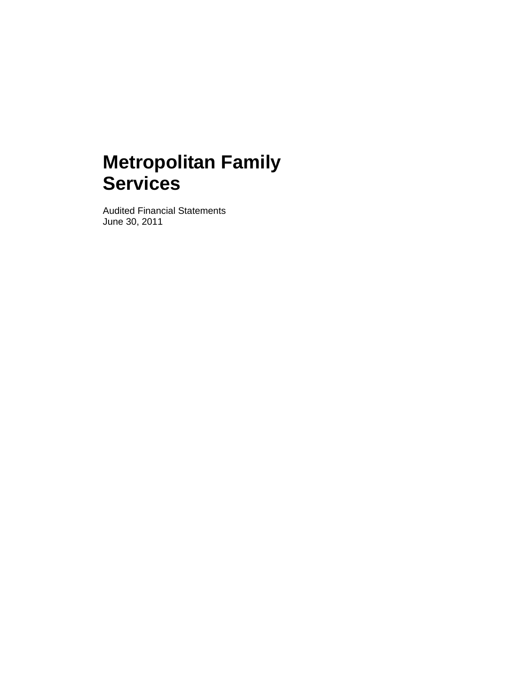Audited Financial Statements June 30, 2011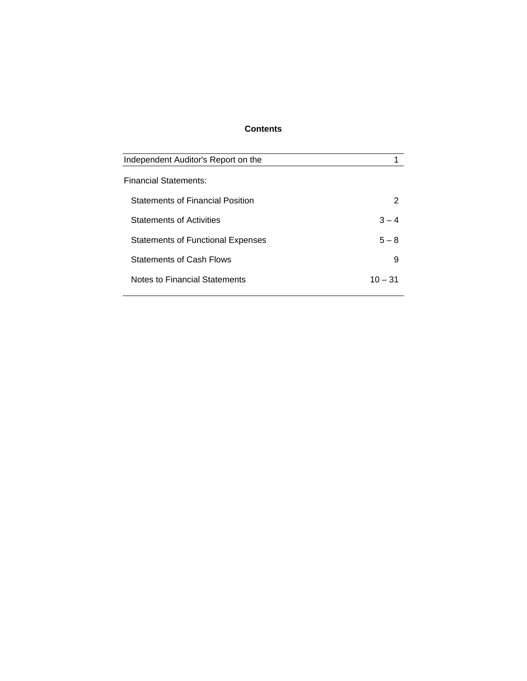# **Contents**

| Independent Auditor's Report on the      |         |
|------------------------------------------|---------|
|                                          |         |
| <b>Financial Statements:</b>             |         |
| <b>Statements of Financial Position</b>  | 2       |
| <b>Statements of Activities</b>          | $3 - 4$ |
| <b>Statements of Functional Expenses</b> | $5 - 8$ |
| <b>Statements of Cash Flows</b>          | 9       |
| Notes to Financial Statements            | 10 – 31 |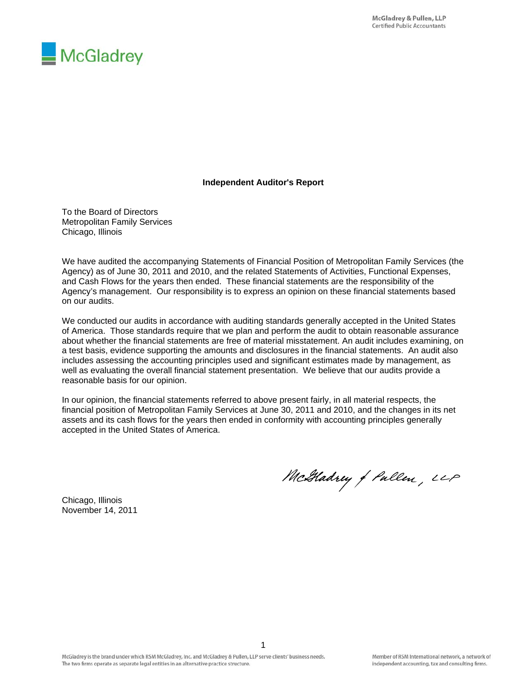

# **Independent Auditor's Report**

To the Board of Directors Metropolitan Family Services Chicago, Illinois

We have audited the accompanying Statements of Financial Position of Metropolitan Family Services (the Agency) as of June 30, 2011 and 2010, and the related Statements of Activities, Functional Expenses, and Cash Flows for the years then ended. These financial statements are the responsibility of the Agency's management. Our responsibility is to express an opinion on these financial statements based on our audits.

We conducted our audits in accordance with auditing standards generally accepted in the United States of America. Those standards require that we plan and perform the audit to obtain reasonable assurance about whether the financial statements are free of material misstatement. An audit includes examining, on a test basis, evidence supporting the amounts and disclosures in the financial statements. An audit also includes assessing the accounting principles used and significant estimates made by management, as well as evaluating the overall financial statement presentation. We believe that our audits provide a reasonable basis for our opinion.

In our opinion, the financial statements referred to above present fairly, in all material respects, the financial position of Metropolitan Family Services at June 30, 2011 and 2010, and the changes in its net assets and its cash flows for the years then ended in conformity with accounting principles generally accepted in the United States of America.

McGladrey of Pullen, LLP

Chicago, Illinois November 14, 2011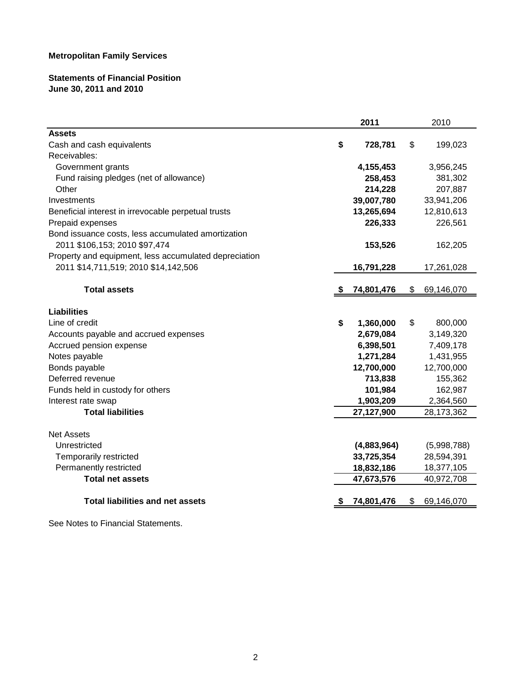# **Statements of Financial Position June 30, 2011 and 2010**

|                                                       | 2011            |     | 2010        |
|-------------------------------------------------------|-----------------|-----|-------------|
| <b>Assets</b>                                         |                 |     |             |
| Cash and cash equivalents                             | \$<br>728,781   | \$  | 199,023     |
| Receivables:                                          |                 |     |             |
| Government grants                                     | 4,155,453       |     | 3,956,245   |
| Fund raising pledges (net of allowance)               | 258,453         |     | 381,302     |
| Other                                                 | 214,228         |     | 207,887     |
| Investments                                           | 39,007,780      |     | 33,941,206  |
| Beneficial interest in irrevocable perpetual trusts   | 13,265,694      |     | 12,810,613  |
| Prepaid expenses                                      | 226,333         |     | 226,561     |
| Bond issuance costs, less accumulated amortization    |                 |     |             |
| 2011 \$106,153; 2010 \$97,474                         | 153,526         |     | 162,205     |
| Property and equipment, less accumulated depreciation |                 |     |             |
| 2011 \$14,711,519; 2010 \$14,142,506                  | 16,791,228      |     | 17,261,028  |
|                                                       |                 |     |             |
| <b>Total assets</b>                                   | 74,801,476      | \$  | 69,146,070  |
| <b>Liabilities</b>                                    |                 |     |             |
| Line of credit                                        | \$<br>1,360,000 | \$  | 800,000     |
| Accounts payable and accrued expenses                 | 2,679,084       |     | 3,149,320   |
| Accrued pension expense                               | 6,398,501       |     | 7,409,178   |
| Notes payable                                         | 1,271,284       |     | 1,431,955   |
| Bonds payable                                         | 12,700,000      |     | 12,700,000  |
| Deferred revenue                                      | 713,838         |     | 155,362     |
| Funds held in custody for others                      | 101,984         |     | 162,987     |
| Interest rate swap                                    | 1,903,209       |     | 2,364,560   |
| <b>Total liabilities</b>                              | 27,127,900      |     | 28,173,362  |
|                                                       |                 |     |             |
| <b>Net Assets</b>                                     |                 |     |             |
| Unrestricted                                          | (4,883,964)     |     | (5,998,788) |
| Temporarily restricted                                | 33,725,354      |     | 28,594,391  |
| Permanently restricted                                | 18,832,186      |     | 18,377,105  |
| <b>Total net assets</b>                               | 47,673,576      |     | 40,972,708  |
|                                                       |                 |     |             |
| <b>Total liabilities and net assets</b>               | 74,801,476      | \$. | 69,146,070  |
|                                                       |                 |     |             |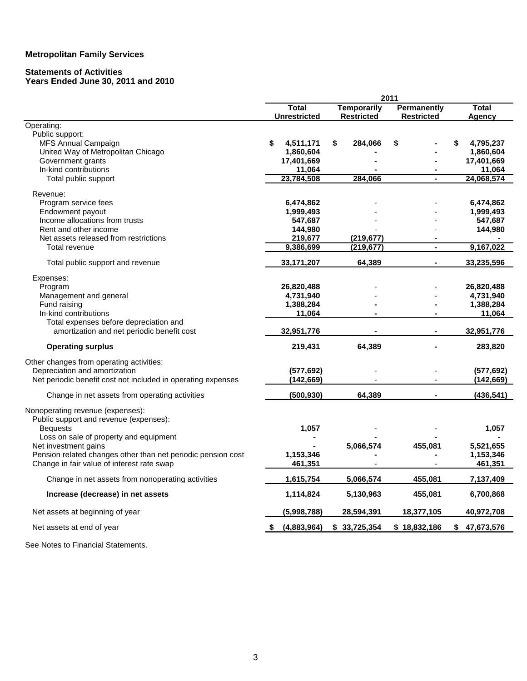# **Statements of Activities**

#### **Years Ended June 30, 2011 and 2010**

|                                                              |                     |                    | 2011 |                    |                  |
|--------------------------------------------------------------|---------------------|--------------------|------|--------------------|------------------|
|                                                              | <b>Total</b>        | <b>Temporarily</b> |      | <b>Permanently</b> | <b>Total</b>     |
|                                                              | <b>Unrestricted</b> | <b>Restricted</b>  |      | <b>Restricted</b>  | Agency           |
| Operating:<br>Public support:                                |                     |                    |      |                    |                  |
| MFS Annual Campaign                                          | \$<br>4,511,171     | \$<br>284,066      |      |                    | 4,795,237        |
| United Way of Metropolitan Chicago                           | 1,860,604           |                    |      |                    | 1,860,604        |
| Government grants                                            | 17,401,669          |                    |      |                    | 17,401,669       |
| In-kind contributions                                        | 11,064              |                    |      |                    | 11,064           |
| Total public support                                         | 23,784,508          | 284,066            |      | $\blacksquare$     | 24,068,574       |
|                                                              |                     |                    |      |                    |                  |
| Revenue:                                                     |                     |                    |      |                    |                  |
| Program service fees                                         | 6,474,862           |                    |      |                    | 6,474,862        |
| Endowment payout                                             | 1,999,493           |                    |      |                    | 1,999,493        |
| Income allocations from trusts                               | 547,687             |                    |      |                    | 547,687          |
| Rent and other income                                        | 144,980             |                    |      |                    | 144,980          |
| Net assets released from restrictions                        | 219,677             | (219,677)          |      |                    |                  |
| Total revenue                                                | 9,386,699           | (219, 677)         |      |                    | 9,167,022        |
| Total public support and revenue                             | 33, 171, 207        | 64,389             |      |                    | 33,235,596       |
| Expenses:                                                    |                     |                    |      |                    |                  |
| Program                                                      | 26,820,488          |                    |      |                    | 26,820,488       |
| Management and general                                       | 4,731,940           |                    |      |                    | 4,731,940        |
| Fund raising                                                 | 1,388,284           |                    |      |                    | 1,388,284        |
| In-kind contributions                                        | 11,064              |                    |      |                    | 11,064           |
| Total expenses before depreciation and                       |                     |                    |      |                    |                  |
| amortization and net periodic benefit cost                   | 32,951,776          |                    |      |                    | 32,951,776       |
| <b>Operating surplus</b>                                     | 219,431             | 64,389             |      |                    | 283,820          |
| Other changes from operating activities:                     |                     |                    |      |                    |                  |
| Depreciation and amortization                                | (577, 692)          |                    |      |                    | (577, 692)       |
| Net periodic benefit cost not included in operating expenses | (142, 669)          |                    |      |                    | (142, 669)       |
| Change in net assets from operating activities               | (500, 930)          | 64,389             |      |                    | (436, 541)       |
|                                                              |                     |                    |      |                    |                  |
| Nonoperating revenue (expenses):                             |                     |                    |      |                    |                  |
| Public support and revenue (expenses):                       | 1,057               |                    |      |                    | 1,057            |
| <b>Bequests</b><br>Loss on sale of property and equipment    |                     |                    |      |                    |                  |
| Net investment gains                                         |                     | 5,066,574          |      | 455,081            | 5,521,655        |
| Pension related changes other than net periodic pension cost | 1,153,346           |                    |      |                    | 1,153,346        |
| Change in fair value of interest rate swap                   | 461,351             |                    |      |                    | 461,351          |
|                                                              |                     |                    |      |                    |                  |
| Change in net assets from nonoperating activities            | 1,615,754           | 5,066,574          |      | 455,081            | 7,137,409        |
| Increase (decrease) in net assets                            | 1,114,824           | 5,130,963          |      | 455,081            | 6,700,868        |
| Net assets at beginning of year                              | (5,998,788)         | 28,594,391         |      | 18,377,105         | 40,972,708       |
| Net assets at end of year                                    | (4,883,964)         | \$33,725,354       |      | \$18,832,186       | \$<br>47,673,576 |
|                                                              |                     |                    |      |                    |                  |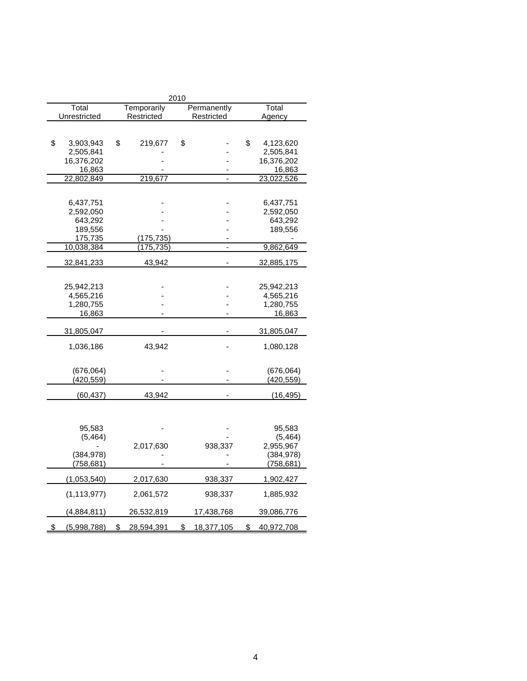|                   |                  | 2010 |             |                  |
|-------------------|------------------|------|-------------|------------------|
| Total             | Temporarily      |      | Permanently | Total            |
| Unrestricted      | Restricted       |      | Restricted  | Agency           |
|                   |                  |      |             |                  |
|                   |                  |      |             |                  |
| \$<br>3,903,943   | \$<br>219,677    | \$   |             | \$<br>4,123,620  |
| 2,505,841         |                  |      |             | 2,505,841        |
| 16,376,202        |                  |      |             | 16,376,202       |
| 16,863            |                  |      |             | 16,863           |
| 22,802,849        | 219,677          |      | -           | 23,022,526       |
|                   |                  |      |             |                  |
| 6,437,751         |                  |      |             | 6,437,751        |
| 2,592,050         |                  |      |             | 2,592,050        |
| 643,292           |                  |      |             | 643,292          |
| 189,556           |                  |      |             | 189,556          |
| 175,735           | (175, 735)       |      |             |                  |
| 10,038,384        | (175, 735)       |      |             | 9,862,649        |
| 32,841,233        | 43,942           |      |             | 32,885,175       |
|                   |                  |      |             |                  |
|                   |                  |      |             |                  |
| 25,942,213        |                  |      |             | 25,942,213       |
| 4,565,216         |                  |      |             | 4,565,216        |
| 1,280,755         |                  |      |             | 1,280,755        |
| 16,863            |                  |      |             | 16,863           |
| 31,805,047        |                  |      |             | 31,805,047       |
|                   |                  |      |             |                  |
| 1,036,186         | 43,942           |      |             | 1,080,128        |
|                   |                  |      |             |                  |
| (676, 064)        |                  |      |             | (676, 064)       |
| (420, 559)        |                  |      |             | (420, 559)       |
|                   |                  |      |             |                  |
| (60, 437)         | 43,942           |      |             | (16, 495)        |
|                   |                  |      |             |                  |
|                   |                  |      |             |                  |
| 95,583            |                  |      |             | 95,583           |
| (5, 464)          |                  |      |             | (5, 464)         |
|                   | 2,017,630        |      | 938,337     | 2,955,967        |
| (384, 978)        |                  |      |             | (384, 978)       |
| (758, 681)        |                  |      |             | (758, 681)       |
|                   |                  |      |             |                  |
| (1,053,540)       | 2,017,630        |      | 938,337     | 1,902,427        |
| (1, 113, 977)     | 2,061,572        |      | 938,337     | 1,885,932        |
|                   |                  |      |             |                  |
| (4,884,811)       | 26,532,819       |      | 17,438,768  | 39,086,776       |
| \$<br>(5,998,788) | \$<br>28,594,391 | \$   | 18,377,105  | \$<br>40,972,708 |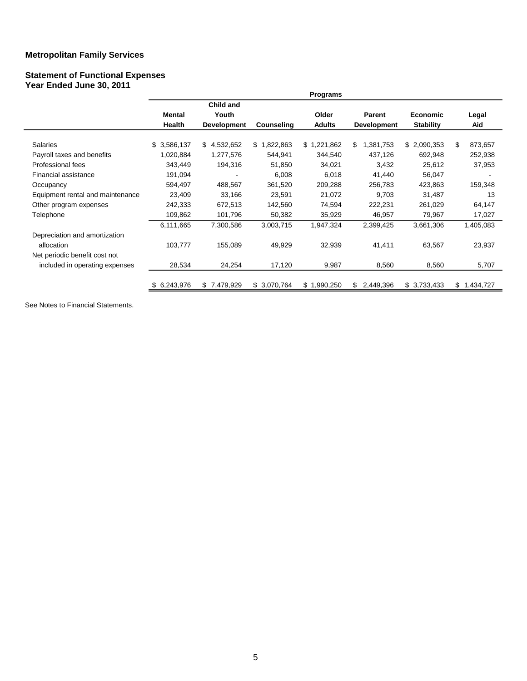#### **Statement of Functional Expenses Year Ended June 30, 2011**

|                                  |                         |                                          |                   | Programs               |                                     |                                     |                 |
|----------------------------------|-------------------------|------------------------------------------|-------------------|------------------------|-------------------------------------|-------------------------------------|-----------------|
|                                  | Mental<br><b>Health</b> | Child and<br>Youth<br><b>Development</b> | <b>Counseling</b> | Older<br><b>Adults</b> | <b>Parent</b><br><b>Development</b> | <b>Economic</b><br><b>Stability</b> | Legal<br>Aid    |
|                                  |                         |                                          |                   |                        |                                     |                                     |                 |
| <b>Salaries</b>                  | \$3,586,137             | \$4,532,652                              | \$1,822,863       | \$1,221,862            | \$<br>1,381,753                     | \$2,090,353                         | \$<br>873,657   |
| Payroll taxes and benefits       | 1,020,884               | 1,277,576                                | 544,941           | 344,540                | 437,126                             | 692,948                             | 252,938         |
| Professional fees                | 343,449                 | 194,316                                  | 51,850            | 34,021                 | 3,432                               | 25,612                              | 37,953          |
| Financial assistance             | 191,094                 |                                          | 6,008             | 6,018                  | 41,440                              | 56,047                              |                 |
| Occupancy                        | 594,497                 | 488,567                                  | 361,520           | 209,288                | 256,783                             | 423,863                             | 159,348         |
| Equipment rental and maintenance | 23,409                  | 33,166                                   | 23,591            | 21,072                 | 9,703                               | 31,487                              | 13              |
| Other program expenses           | 242,333                 | 672,513                                  | 142,560           | 74,594                 | 222,231                             | 261,029                             | 64,147          |
| Telephone                        | 109,862                 | 101,796                                  | 50,382            | 35,929                 | 46,957                              | 79,967                              | 17,027          |
|                                  | 6,111,665               | 7,300,586                                | 3,003,715         | 1,947,324              | 2,399,425                           | 3,661,306                           | 1,405,083       |
| Depreciation and amortization    |                         |                                          |                   |                        |                                     |                                     |                 |
| allocation                       | 103,777                 | 155,089                                  | 49,929            | 32,939                 | 41,411                              | 63,567                              | 23,937          |
| Net periodic benefit cost not    |                         |                                          |                   |                        |                                     |                                     |                 |
| included in operating expenses   | 28,534                  | 24,254                                   | 17,120            | 9,987                  | 8,560                               | 8,560                               | 5,707           |
|                                  | \$6,243,976             | \$7,479,929                              | \$3,070,764       | \$1,990,250            | 2,449,396<br>S                      | \$3,733,433                         | \$<br>1,434,727 |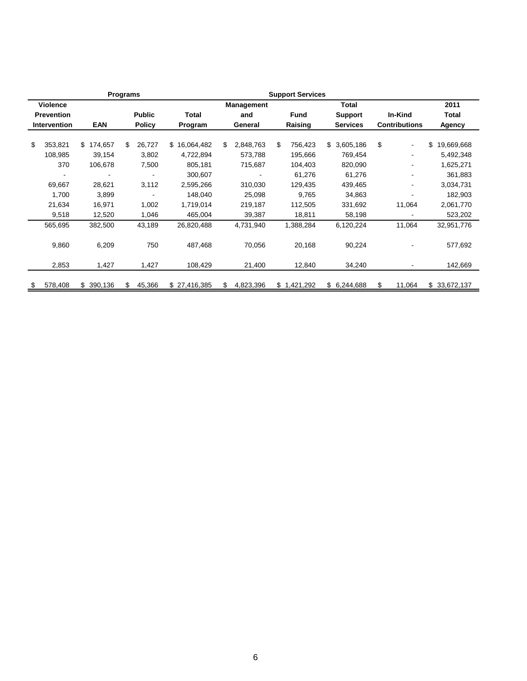|                   |                 |                | <b>Programs</b> |        |              | <b>Support Services</b> |                   |         |                               |                 |              |         |                      |                  |
|-------------------|-----------------|----------------|-----------------|--------|--------------|-------------------------|-------------------|---------|-------------------------------|-----------------|--------------|---------|----------------------|------------------|
|                   | <b>Violence</b> |                |                 |        |              |                         | <b>Management</b> |         |                               |                 | <b>Total</b> |         |                      | 2011             |
| <b>Prevention</b> |                 |                | <b>Public</b>   |        | Total        |                         | and               |         | <b>Fund</b><br><b>Support</b> |                 |              | In-Kind |                      | Total            |
|                   | Intervention    | <b>EAN</b>     | <b>Policy</b>   |        | Program      |                         | General           | Raising |                               | <b>Services</b> |              |         | <b>Contributions</b> | <b>Agency</b>    |
|                   |                 |                |                 |        |              |                         |                   |         |                               |                 |              |         |                      |                  |
| S                 | 353,821         | \$.<br>174,657 | £.              | 26,727 | \$16,064,482 | £.                      | 2,848,763         | \$      | 756,423                       |                 | \$3,605,186  | \$      | $\blacksquare$       | \$<br>19,669,668 |
|                   | 108,985         | 39,154         |                 | 3,802  | 4,722,894    |                         | 573,788           |         | 195,666                       |                 | 769,454      |         |                      | 5,492,348        |
|                   | 370             | 106,678        |                 | 7,500  | 805,181      |                         | 715,687           |         | 104,403                       |                 | 820,090      |         |                      | 1,625,271        |
|                   |                 |                |                 |        | 300,607      |                         |                   |         | 61,276                        |                 | 61,276       |         |                      | 361,883          |
|                   | 69,667          | 28,621         |                 | 3,112  | 2,595,266    |                         | 310,030           |         | 129,435                       |                 | 439,465      |         |                      | 3,034,731        |
|                   | 1,700           | 3,899          |                 |        | 148,040      |                         | 25,098            |         | 9,765                         |                 | 34,863       |         |                      | 182,903          |
|                   | 21,634          | 16,971         |                 | 1,002  | 1,719,014    |                         | 219,187           |         | 112,505                       |                 | 331,692      |         | 11,064               | 2,061,770        |
|                   | 9,518           | 12,520         |                 | 1,046  | 465,004      |                         | 39,387            |         | 18,811                        |                 | 58,198       |         |                      | 523,202          |
|                   | 565,695         | 382,500        |                 | 43,189 | 26,820,488   |                         | 4,731,940         |         | 1,388,284                     |                 | 6,120,224    |         | 11,064               | 32,951,776       |
|                   | 9,860           | 6,209          |                 | 750    | 487,468      |                         | 70,056            |         | 20,168                        |                 | 90,224       |         |                      | 577,692          |
|                   | 2,853           | 1,427          |                 | 1,427  | 108,429      |                         | 21,400            |         | 12,840                        |                 | 34,240       |         |                      | 142,669          |
| \$                | 578,408         | 390,136<br>\$. | \$.             | 45,366 | \$27,416,385 | S.                      | 4,823,396         |         | \$1,421,292                   |                 | \$6,244,688  | \$      | 11,064               | \$33,672,137     |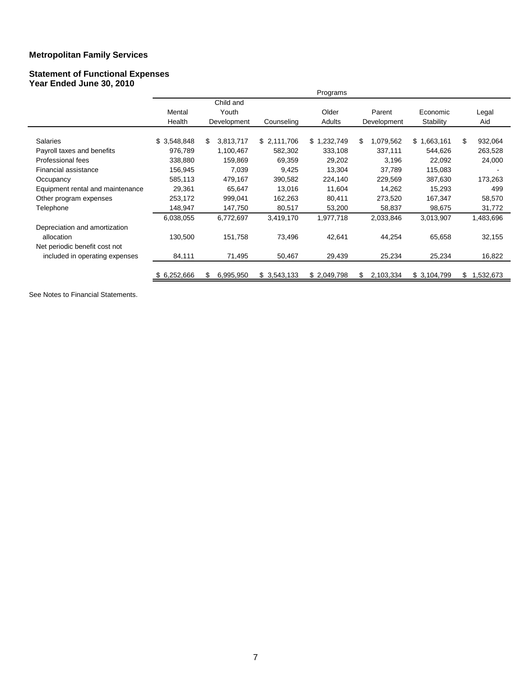#### **Statement of Functional Expenses Year Ended June 30, 2010**

|                                  |              |                 |             | Programs    |                 |             |                |
|----------------------------------|--------------|-----------------|-------------|-------------|-----------------|-------------|----------------|
|                                  |              | Child and       |             |             |                 |             |                |
|                                  | Mental       | Youth           |             | Older       | Parent          | Economic    | Legal          |
|                                  | Health       | Development     | Counseling  | Adults      | Development     | Stability   | Aid            |
| <b>Salaries</b>                  | \$3,548,848  | \$<br>3,813,717 | \$2,111,706 | \$1,232,749 | \$<br>1,079,562 | \$1,663,161 | \$.<br>932,064 |
|                                  |              |                 |             |             |                 |             |                |
| Payroll taxes and benefits       | 976,789      | 1,100,467       | 582,302     | 333,108     | 337,111         | 544,626     | 263,528        |
| Professional fees                | 338,880      | 159,869         | 69,359      | 29,202      | 3,196           | 22,092      | 24,000         |
| Financial assistance             | 156,945      | 7,039           | 9,425       | 13,304      | 37,789          | 115,083     |                |
| Occupancy                        | 585,113      | 479,167         | 390,582     | 224,140     | 229,569         | 387,630     | 173,263        |
| Equipment rental and maintenance | 29,361       | 65,647          | 13,016      | 11,604      | 14,262          | 15,293      | 499            |
| Other program expenses           | 253,172      | 999,041         | 162,263     | 80,411      | 273,520         | 167,347     | 58,570         |
| Telephone                        | 148,947      | 147,750         | 80,517      | 53,200      | 58,837          | 98,675      | 31,772         |
|                                  | 6,038,055    | 6,772,697       | 3,419,170   | 1,977,718   | 2,033,846       | 3,013,907   | 1,483,696      |
| Depreciation and amortization    |              |                 |             |             |                 |             |                |
| allocation                       | 130,500      | 151,758         | 73,496      | 42,641      | 44,254          | 65,658      | 32,155         |
| Net periodic benefit cost not    |              |                 |             |             |                 |             |                |
| included in operating expenses   | 84,111       | 71,495          | 50,467      | 29,439      | 25,234          | 25,234      | 16,822         |
|                                  | \$ 6,252,666 | 6,995,950<br>\$ | \$3,543,133 | \$2,049,798 | 2,103,334<br>S  | \$3,104,799 | \$1,532,673    |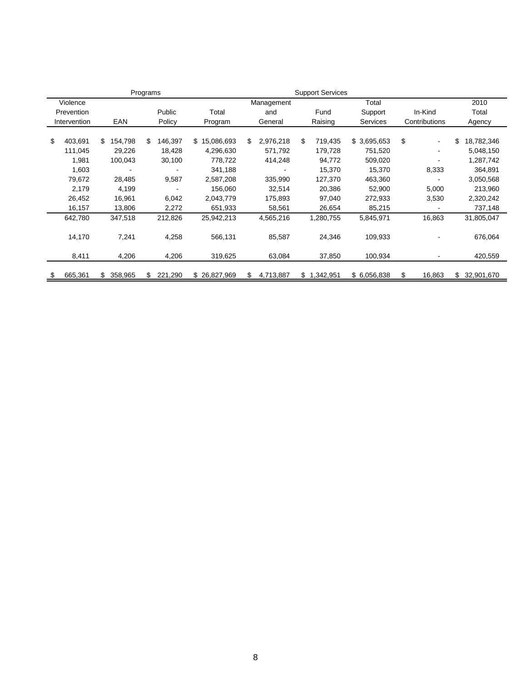| <b>Support Services</b><br>Programs |                |               |                  |     |            |    |           |                 |    |                |    |            |
|-------------------------------------|----------------|---------------|------------------|-----|------------|----|-----------|-----------------|----|----------------|----|------------|
| Violence                            |                |               |                  |     | Management |    |           | Total           |    |                |    | 2010       |
| Prevention                          |                | Public        | Total            |     | and        |    | Fund      | Support         |    | In-Kind        |    | Total      |
| Intervention                        | EAN            | Policy        | Program          |     | General    |    | Raising   | <b>Services</b> |    | Contributions  |    | Agency     |
|                                     |                |               |                  |     |            |    |           |                 |    |                |    |            |
| \$<br>403,691                       | 154,798<br>\$. | \$<br>146,397 | 15,086,693<br>\$ | \$. | 2,976,218  | \$ | 719,435   | \$3,695,653     | \$ | $\blacksquare$ | \$ | 18,782,346 |
| 111,045                             | 29,226         | 18,428        | 4,296,630        |     | 571,792    |    | 179,728   | 751,520         |    |                |    | 5,048,150  |
| 1,981                               | 100,043        | 30,100        | 778,722          |     | 414,248    |    | 94,772    | 509,020         |    |                |    | 1,287,742  |
| 1,603                               |                |               | 341,188          |     |            |    | 15,370    | 15,370          |    | 8,333          |    | 364,891    |
| 79,672                              | 28,485         | 9,587         | 2,587,208        |     | 335,990    |    | 127,370   | 463,360         |    |                |    | 3,050,568  |
| 2,179                               | 4,199          |               | 156,060          |     | 32,514     |    | 20,386    | 52,900          |    | 5,000          |    | 213,960    |
| 26,452                              | 16,961         | 6,042         | 2,043,779        |     | 175,893    |    | 97,040    | 272,933         |    | 3,530          |    | 2,320,242  |
| 16,157                              | 13,806         | 2,272         | 651,933          |     | 58,561     |    | 26,654    | 85,215          |    |                |    | 737,148    |
| 642,780                             | 347,518        | 212,826       | 25,942,213       |     | 4,565,216  |    | 1,280,755 | 5,845,971       |    | 16,863         |    | 31,805,047 |
| 14,170                              | 7,241          | 4,258         | 566,131          |     | 85,587     |    | 24,346    | 109,933         |    |                |    | 676,064    |
| 8,411                               | 4,206          | 4,206         | 319,625          |     | 63,084     |    | 37,850    | 100,934         |    |                |    | 420,559    |
| \$<br>665,361                       | 358,965<br>\$. | 221,290       | \$26,827,969     | \$  | 4,713,887  | \$ | 1,342,951 | \$6,056,838     | \$ | 16,863         | \$ | 32,901,670 |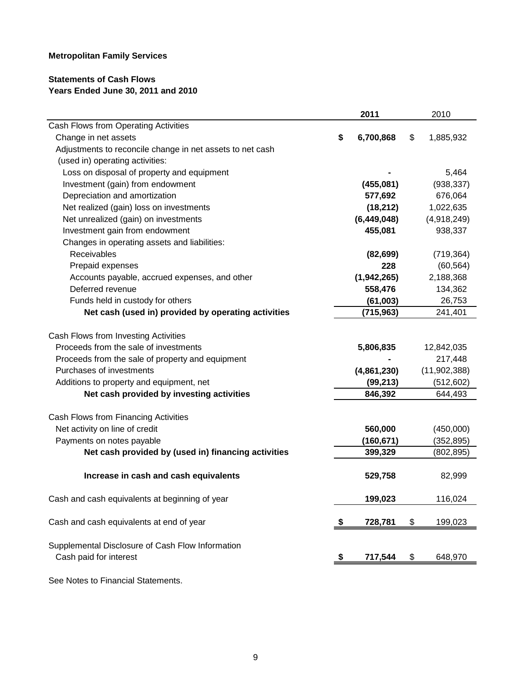# **Statements of Cash Flows Years Ended June 30, 2011 and 2010**

|                                                           | 2011            | 2010            |
|-----------------------------------------------------------|-----------------|-----------------|
| Cash Flows from Operating Activities                      |                 |                 |
| Change in net assets                                      | \$<br>6,700,868 | \$<br>1,885,932 |
| Adjustments to reconcile change in net assets to net cash |                 |                 |
| (used in) operating activities:                           |                 |                 |
| Loss on disposal of property and equipment                |                 | 5,464           |
| Investment (gain) from endowment                          | (455,081)       | (938, 337)      |
| Depreciation and amortization                             | 577,692         | 676,064         |
| Net realized (gain) loss on investments                   | (18, 212)       | 1,022,635       |
| Net unrealized (gain) on investments                      | (6,449,048)     | (4,918,249)     |
| Investment gain from endowment                            | 455,081         | 938,337         |
| Changes in operating assets and liabilities:              |                 |                 |
| Receivables                                               | (82, 699)       | (719, 364)      |
| Prepaid expenses                                          | 228             | (60, 564)       |
| Accounts payable, accrued expenses, and other             | (1,942,265)     | 2,188,368       |
| Deferred revenue                                          | 558,476         | 134,362         |
| Funds held in custody for others                          | (61,003)        | 26,753          |
| Net cash (used in) provided by operating activities       | (715, 963)      | 241,401         |
|                                                           |                 |                 |
| Cash Flows from Investing Activities                      |                 |                 |
| Proceeds from the sale of investments                     | 5,806,835       | 12,842,035      |
| Proceeds from the sale of property and equipment          |                 | 217,448         |
| Purchases of investments                                  | (4,861,230)     | (11, 902, 388)  |
| Additions to property and equipment, net                  | (99, 213)       | (512, 602)      |
| Net cash provided by investing activities                 | 846,392         | 644,493         |
| Cash Flows from Financing Activities                      |                 |                 |
| Net activity on line of credit                            | 560,000         | (450,000)       |
| Payments on notes payable                                 | (160, 671)      | (352, 895)      |
| Net cash provided by (used in) financing activities       | 399,329         | (802, 895)      |
|                                                           |                 |                 |
| Increase in cash and cash equivalents                     | 529,758         | 82,999          |
| Cash and cash equivalents at beginning of year            | 199,023         | 116,024         |
|                                                           |                 |                 |
| Cash and cash equivalents at end of year                  | \$<br>728,781   | \$<br>199,023   |
| Supplemental Disclosure of Cash Flow Information          |                 |                 |
| Cash paid for interest                                    | \$<br>717,544   | \$<br>648,970   |
|                                                           |                 |                 |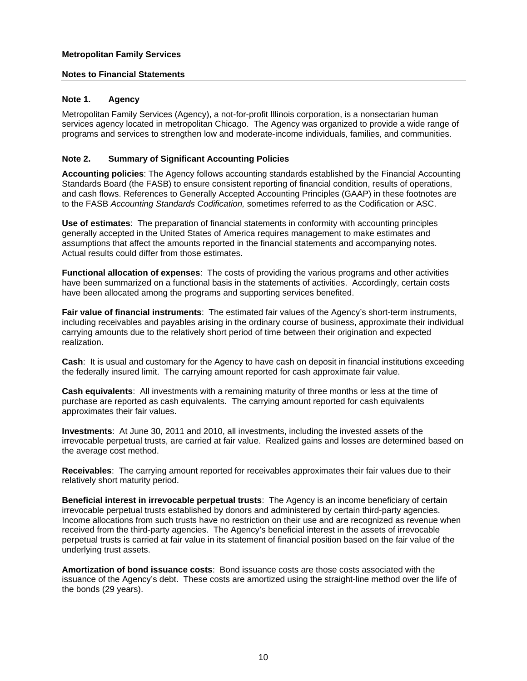#### **Notes to Financial Statements**

## **Note 1. Agency**

Metropolitan Family Services (Agency), a not-for-profit Illinois corporation, is a nonsectarian human services agency located in metropolitan Chicago. The Agency was organized to provide a wide range of programs and services to strengthen low and moderate-income individuals, families, and communities.

#### **Note 2. Summary of Significant Accounting Policies**

**Accounting policies**: The Agency follows accounting standards established by the Financial Accounting Standards Board (the FASB) to ensure consistent reporting of financial condition, results of operations, and cash flows. References to Generally Accepted Accounting Principles (GAAP) in these footnotes are to the FASB *Accounting Standards Codification,* sometimes referred to as the Codification or ASC.

**Use of estimates**: The preparation of financial statements in conformity with accounting principles generally accepted in the United States of America requires management to make estimates and assumptions that affect the amounts reported in the financial statements and accompanying notes. Actual results could differ from those estimates.

**Functional allocation of expenses**: The costs of providing the various programs and other activities have been summarized on a functional basis in the statements of activities. Accordingly, certain costs have been allocated among the programs and supporting services benefited.

**Fair value of financial instruments**: The estimated fair values of the Agency's short-term instruments, including receivables and payables arising in the ordinary course of business, approximate their individual carrying amounts due to the relatively short period of time between their origination and expected realization.

**Cash**: It is usual and customary for the Agency to have cash on deposit in financial institutions exceeding the federally insured limit. The carrying amount reported for cash approximate fair value.

**Cash equivalents**: All investments with a remaining maturity of three months or less at the time of purchase are reported as cash equivalents. The carrying amount reported for cash equivalents approximates their fair values.

**Investments**: At June 30, 2011 and 2010, all investments, including the invested assets of the irrevocable perpetual trusts, are carried at fair value. Realized gains and losses are determined based on the average cost method.

**Receivables**: The carrying amount reported for receivables approximates their fair values due to their relatively short maturity period.

**Beneficial interest in irrevocable perpetual trusts**: The Agency is an income beneficiary of certain irrevocable perpetual trusts established by donors and administered by certain third-party agencies. Income allocations from such trusts have no restriction on their use and are recognized as revenue when received from the third-party agencies. The Agency's beneficial interest in the assets of irrevocable perpetual trusts is carried at fair value in its statement of financial position based on the fair value of the underlying trust assets.

**Amortization of bond issuance costs**: Bond issuance costs are those costs associated with the issuance of the Agency's debt. These costs are amortized using the straight-line method over the life of the bonds (29 years).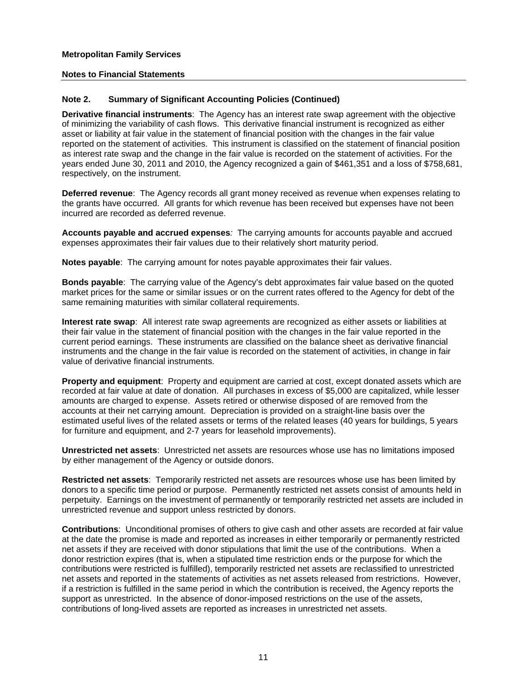## **Note 2. Summary of Significant Accounting Policies (Continued)**

**Derivative financial instruments**: The Agency has an interest rate swap agreement with the objective of minimizing the variability of cash flows. This derivative financial instrument is recognized as either asset or liability at fair value in the statement of financial position with the changes in the fair value reported on the statement of activities. This instrument is classified on the statement of financial position as interest rate swap and the change in the fair value is recorded on the statement of activities. For the years ended June 30, 2011 and 2010, the Agency recognized a gain of \$461,351 and a loss of \$758,681, respectively, on the instrument.

**Deferred revenue**: The Agency records all grant money received as revenue when expenses relating to the grants have occurred. All grants for which revenue has been received but expenses have not been incurred are recorded as deferred revenue.

**Accounts payable and accrued expenses***:* The carrying amounts for accounts payable and accrued expenses approximates their fair values due to their relatively short maturity period.

**Notes payable**: The carrying amount for notes payable approximates their fair values.

**Bonds payable**: The carrying value of the Agency's debt approximates fair value based on the quoted market prices for the same or similar issues or on the current rates offered to the Agency for debt of the same remaining maturities with similar collateral requirements.

**Interest rate swap**: All interest rate swap agreements are recognized as either assets or liabilities at their fair value in the statement of financial position with the changes in the fair value reported in the current period earnings. These instruments are classified on the balance sheet as derivative financial instruments and the change in the fair value is recorded on the statement of activities, in change in fair value of derivative financial instruments.

**Property and equipment**: Property and equipment are carried at cost, except donated assets which are recorded at fair value at date of donation. All purchases in excess of \$5,000 are capitalized, while lesser amounts are charged to expense. Assets retired or otherwise disposed of are removed from the accounts at their net carrying amount. Depreciation is provided on a straight-line basis over the estimated useful lives of the related assets or terms of the related leases (40 years for buildings, 5 years for furniture and equipment, and 2-7 years for leasehold improvements).

**Unrestricted net assets**: Unrestricted net assets are resources whose use has no limitations imposed by either management of the Agency or outside donors.

**Restricted net assets**: Temporarily restricted net assets are resources whose use has been limited by donors to a specific time period or purpose. Permanently restricted net assets consist of amounts held in perpetuity. Earnings on the investment of permanently or temporarily restricted net assets are included in unrestricted revenue and support unless restricted by donors.

**Contributions**: Unconditional promises of others to give cash and other assets are recorded at fair value at the date the promise is made and reported as increases in either temporarily or permanently restricted net assets if they are received with donor stipulations that limit the use of the contributions. When a donor restriction expires (that is, when a stipulated time restriction ends or the purpose for which the contributions were restricted is fulfilled), temporarily restricted net assets are reclassified to unrestricted net assets and reported in the statements of activities as net assets released from restrictions. However, if a restriction is fulfilled in the same period in which the contribution is received, the Agency reports the support as unrestricted. In the absence of donor-imposed restrictions on the use of the assets, contributions of long-lived assets are reported as increases in unrestricted net assets.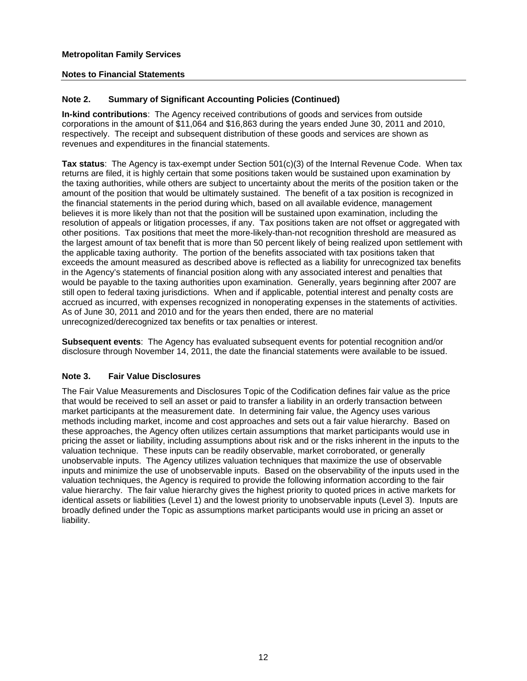# **Note 2. Summary of Significant Accounting Policies (Continued)**

**In-kind contributions**: The Agency received contributions of goods and services from outside corporations in the amount of \$11,064 and \$16,863 during the years ended June 30, 2011 and 2010, respectively. The receipt and subsequent distribution of these goods and services are shown as revenues and expenditures in the financial statements.

**Tax status**: The Agency is tax-exempt under Section 501(c)(3) of the Internal Revenue Code. When tax returns are filed, it is highly certain that some positions taken would be sustained upon examination by the taxing authorities, while others are subject to uncertainty about the merits of the position taken or the amount of the position that would be ultimately sustained. The benefit of a tax position is recognized in the financial statements in the period during which, based on all available evidence, management believes it is more likely than not that the position will be sustained upon examination, including the resolution of appeals or litigation processes, if any. Tax positions taken are not offset or aggregated with other positions. Tax positions that meet the more-likely-than-not recognition threshold are measured as the largest amount of tax benefit that is more than 50 percent likely of being realized upon settlement with the applicable taxing authority. The portion of the benefits associated with tax positions taken that exceeds the amount measured as described above is reflected as a liability for unrecognized tax benefits in the Agency's statements of financial position along with any associated interest and penalties that would be payable to the taxing authorities upon examination. Generally, years beginning after 2007 are still open to federal taxing jurisdictions. When and if applicable, potential interest and penalty costs are accrued as incurred, with expenses recognized in nonoperating expenses in the statements of activities. As of June 30, 2011 and 2010 and for the years then ended, there are no material unrecognized/derecognized tax benefits or tax penalties or interest.

**Subsequent events**: The Agency has evaluated subsequent events for potential recognition and/or disclosure through November 14, 2011, the date the financial statements were available to be issued.

# **Note 3. Fair Value Disclosures**

The Fair Value Measurements and Disclosures Topic of the Codification defines fair value as the price that would be received to sell an asset or paid to transfer a liability in an orderly transaction between market participants at the measurement date. In determining fair value, the Agency uses various methods including market, income and cost approaches and sets out a fair value hierarchy. Based on these approaches, the Agency often utilizes certain assumptions that market participants would use in pricing the asset or liability, including assumptions about risk and or the risks inherent in the inputs to the valuation technique. These inputs can be readily observable, market corroborated, or generally unobservable inputs. The Agency utilizes valuation techniques that maximize the use of observable inputs and minimize the use of unobservable inputs. Based on the observability of the inputs used in the valuation techniques, the Agency is required to provide the following information according to the fair value hierarchy. The fair value hierarchy gives the highest priority to quoted prices in active markets for identical assets or liabilities (Level 1) and the lowest priority to unobservable inputs (Level 3). Inputs are broadly defined under the Topic as assumptions market participants would use in pricing an asset or liability.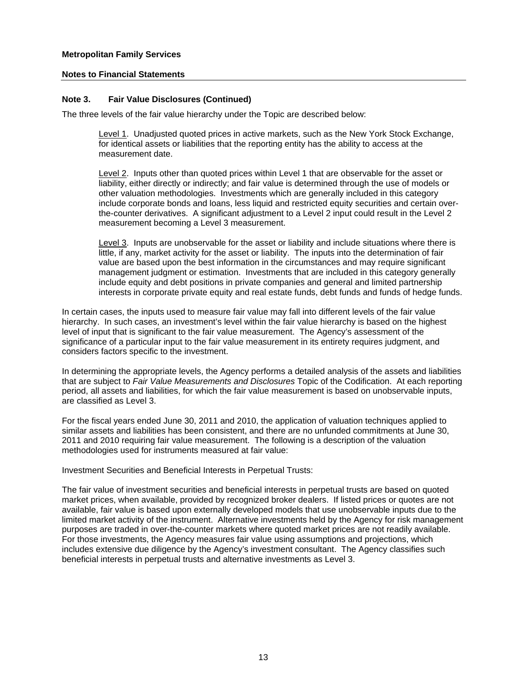#### **Note 3. Fair Value Disclosures (Continued)**

The three levels of the fair value hierarchy under the Topic are described below:

Level 1. Unadjusted quoted prices in active markets, such as the New York Stock Exchange, for identical assets or liabilities that the reporting entity has the ability to access at the measurement date.

Level 2. Inputs other than quoted prices within Level 1 that are observable for the asset or liability, either directly or indirectly; and fair value is determined through the use of models or other valuation methodologies. Investments which are generally included in this category include corporate bonds and loans, less liquid and restricted equity securities and certain overthe-counter derivatives. A significant adjustment to a Level 2 input could result in the Level 2 measurement becoming a Level 3 measurement.

Level 3. Inputs are unobservable for the asset or liability and include situations where there is little, if any, market activity for the asset or liability. The inputs into the determination of fair value are based upon the best information in the circumstances and may require significant management judgment or estimation. Investments that are included in this category generally include equity and debt positions in private companies and general and limited partnership interests in corporate private equity and real estate funds, debt funds and funds of hedge funds.

In certain cases, the inputs used to measure fair value may fall into different levels of the fair value hierarchy. In such cases, an investment's level within the fair value hierarchy is based on the highest level of input that is significant to the fair value measurement. The Agency's assessment of the significance of a particular input to the fair value measurement in its entirety requires judgment, and considers factors specific to the investment.

In determining the appropriate levels, the Agency performs a detailed analysis of the assets and liabilities that are subject to *Fair Value Measurements and Disclosures* Topic of the Codification. At each reporting period, all assets and liabilities, for which the fair value measurement is based on unobservable inputs, are classified as Level 3.

For the fiscal years ended June 30, 2011 and 2010, the application of valuation techniques applied to similar assets and liabilities has been consistent, and there are no unfunded commitments at June 30, 2011 and 2010 requiring fair value measurement. The following is a description of the valuation methodologies used for instruments measured at fair value:

Investment Securities and Beneficial Interests in Perpetual Trusts:

The fair value of investment securities and beneficial interests in perpetual trusts are based on quoted market prices, when available, provided by recognized broker dealers. If listed prices or quotes are not available, fair value is based upon externally developed models that use unobservable inputs due to the limited market activity of the instrument. Alternative investments held by the Agency for risk management purposes are traded in over-the-counter markets where quoted market prices are not readily available. For those investments, the Agency measures fair value using assumptions and projections, which includes extensive due diligence by the Agency's investment consultant. The Agency classifies such beneficial interests in perpetual trusts and alternative investments as Level 3.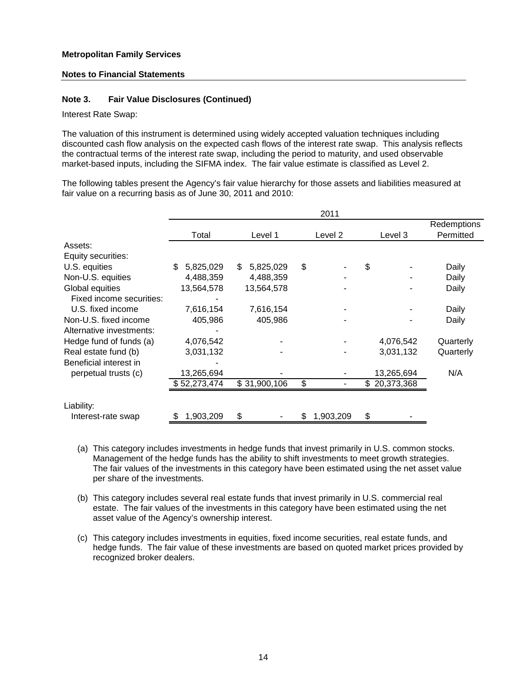#### **Note 3. Fair Value Disclosures (Continued)**

Interest Rate Swap:

The valuation of this instrument is determined using widely accepted valuation techniques including discounted cash flow analysis on the expected cash flows of the interest rate swap. This analysis reflects the contractual terms of the interest rate swap, including the period to maturity, and used observable market-based inputs, including the SIFMA index. The fair value estimate is classified as Level 2.

The following tables present the Agency's fair value hierarchy for those assets and liabilities measured at fair value on a recurring basis as of June 30, 2011 and 2010:

|                          |                 |                 | 2011                 |              |                          |
|--------------------------|-----------------|-----------------|----------------------|--------------|--------------------------|
|                          | Total           | Level 1         | Level 2              | Level 3      | Redemptions<br>Permitted |
| Assets:                  |                 |                 |                      |              |                          |
| Equity securities:       |                 |                 |                      |              |                          |
| U.S. equities            | \$<br>5,825,029 | \$<br>5,825,029 | \$                   | \$           | Daily                    |
| Non-U.S. equities        | 4,488,359       | 4,488,359       |                      |              | Daily                    |
| Global equities          | 13,564,578      | 13,564,578      |                      |              | Daily                    |
| Fixed income securities: |                 |                 |                      |              |                          |
| U.S. fixed income        | 7,616,154       | 7,616,154       |                      |              | Daily                    |
| Non-U.S. fixed income    | 405,986         | 405,986         |                      |              | Daily                    |
| Alternative investments: |                 |                 |                      |              |                          |
| Hedge fund of funds (a)  | 4,076,542       |                 |                      | 4,076,542    | Quarterly                |
| Real estate fund (b)     | 3,031,132       |                 |                      | 3,031,132    | Quarterly                |
| Beneficial interest in   |                 |                 |                      |              |                          |
| perpetual trusts (c)     | 13,265,694      |                 |                      | 13,265,694   | N/A                      |
|                          | \$52,273,474    | \$31,900,106    | \$<br>$\blacksquare$ | \$20,373,368 |                          |
| Liability:               |                 |                 |                      |              |                          |
| Interest-rate swap       | 1,903,209       | \$              | 1,903,209<br>\$      | \$           |                          |

- (a) This category includes investments in hedge funds that invest primarily in U.S. common stocks. Management of the hedge funds has the ability to shift investments to meet growth strategies. The fair values of the investments in this category have been estimated using the net asset value per share of the investments.
- (b) This category includes several real estate funds that invest primarily in U.S. commercial real estate. The fair values of the investments in this category have been estimated using the net asset value of the Agency's ownership interest.
- (c) This category includes investments in equities, fixed income securities, real estate funds, and hedge funds. The fair value of these investments are based on quoted market prices provided by recognized broker dealers.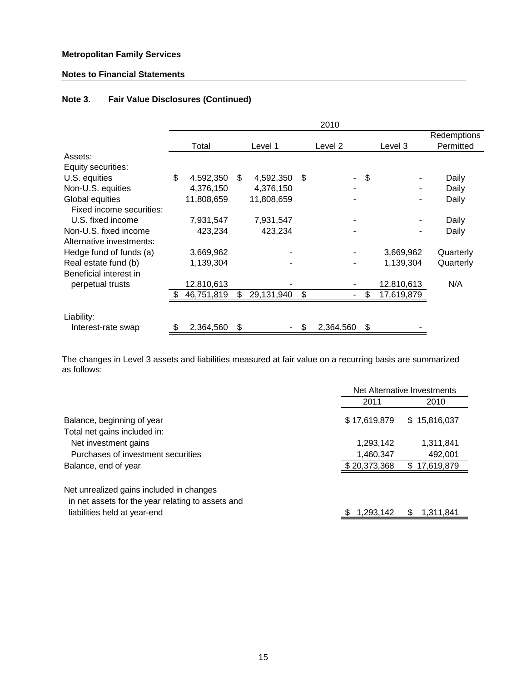# **Notes to Financial Statements**

# **Note 3. Fair Value Disclosures (Continued)**

|                          |                 |                  |     | 2010      |                  |             |
|--------------------------|-----------------|------------------|-----|-----------|------------------|-------------|
|                          |                 |                  |     |           |                  | Redemptions |
|                          | Total           | Level 1          |     | Level 2   | Level 3          | Permitted   |
| Assets:                  |                 |                  |     |           |                  |             |
| Equity securities:       |                 |                  |     |           |                  |             |
| U.S. equities            | \$<br>4,592,350 | \$<br>4,592,350  | -\$ |           | \$               | Daily       |
| Non-U.S. equities        | 4,376,150       | 4,376,150        |     |           |                  | Daily       |
| Global equities          | 11,808,659      | 11,808,659       |     |           |                  | Daily       |
| Fixed income securities: |                 |                  |     |           |                  |             |
| U.S. fixed income        | 7,931,547       | 7,931,547        |     |           |                  | Daily       |
| Non-U.S. fixed income    | 423,234         | 423,234          |     |           |                  | Daily       |
| Alternative investments: |                 |                  |     |           |                  |             |
| Hedge fund of funds (a)  | 3,669,962       |                  |     |           | 3,669,962        | Quarterly   |
| Real estate fund (b)     | 1,139,304       |                  |     |           | 1,139,304        | Quarterly   |
| Beneficial interest in   |                 |                  |     |           |                  |             |
| perpetual trusts         | 12,810,613      |                  |     |           | 12,810,613       | N/A         |
|                          | 46,751,819      | \$<br>29,131,940 | \$  |           | \$<br>17,619,879 |             |
|                          |                 |                  |     |           |                  |             |
| Liability:               |                 |                  |     |           |                  |             |
| Interest-rate swap       | \$<br>2,364,560 | \$               | \$  | 2,364,560 | \$               |             |

The changes in Level 3 assets and liabilities measured at fair value on a recurring basis are summarized as follows:

|                                                                                                                               |                        | Net Alternative Investments |
|-------------------------------------------------------------------------------------------------------------------------------|------------------------|-----------------------------|
|                                                                                                                               | 2011                   | 2010                        |
| Balance, beginning of year<br>Total net gains included in:                                                                    | \$17,619,879           | \$15,816,037                |
| Net investment gains<br>Purchases of investment securities                                                                    | 1,293,142<br>1,460,347 | 1,311,841<br>492,001        |
| Balance, end of year                                                                                                          | \$20,373,368           | \$17,619,879                |
| Net unrealized gains included in changes<br>in net assets for the year relating to assets and<br>liabilities held at year-end | 1,293,142              | 1,311,841<br>S              |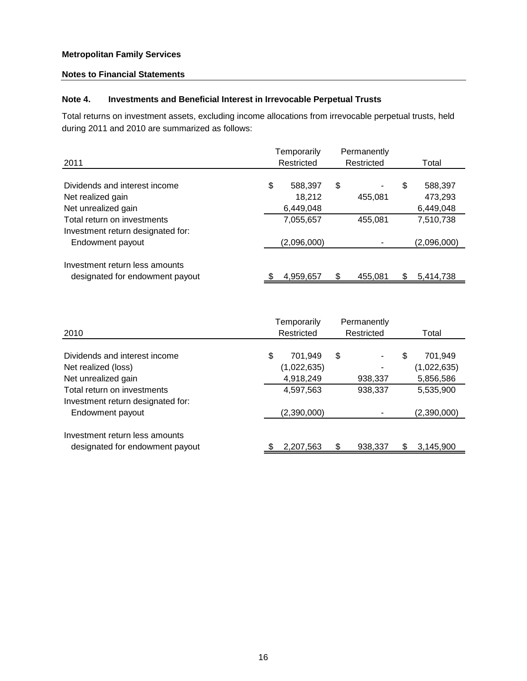# **Notes to Financial Statements**

# **Note 4. Investments and Beneficial Interest in Irrevocable Perpetual Trusts**

Total returns on investment assets, excluding income allocations from irrevocable perpetual trusts, held during 2011 and 2010 are summarized as follows:

| 2011                                                              |    | Temporarily<br>Restricted |    |         |   | Permanently<br>Restricted |  | Total |
|-------------------------------------------------------------------|----|---------------------------|----|---------|---|---------------------------|--|-------|
| Dividends and interest income                                     | \$ | 588,397                   | \$ |         | S | 588,397                   |  |       |
| Net realized gain                                                 |    | 18,212                    |    | 455,081 |   | 473,293                   |  |       |
| Net unrealized gain                                               |    | 6,449,048                 |    |         |   | 6,449,048                 |  |       |
| Total return on investments                                       |    | 7,055,657                 |    | 455.081 |   | 7,510,738                 |  |       |
| Investment return designated for:                                 |    |                           |    |         |   |                           |  |       |
| Endowment payout                                                  |    | (2,096,000)               |    |         |   | (2,096,000)               |  |       |
| Investment return less amounts<br>designated for endowment payout |    | 4,959,657                 |    | 455.081 |   | 5,414,738                 |  |       |

|                                   | Temporarily   | Permanently |               |
|-----------------------------------|---------------|-------------|---------------|
| 2010                              | Restricted    | Restricted  | Total         |
|                                   |               |             |               |
| Dividends and interest income     | \$<br>701.949 | \$<br>-     | \$<br>701,949 |
| Net realized (loss)               | (1,022,635)   |             | (1,022,635)   |
| Net unrealized gain               | 4,918,249     | 938,337     | 5,856,586     |
| Total return on investments       | 4,597,563     | 938,337     | 5,535,900     |
| Investment return designated for: |               |             |               |
| Endowment payout                  | (2,390,000)   |             | (2,390,000)   |
|                                   |               |             |               |
| Investment return less amounts    |               |             |               |
| designated for endowment payout   | 2,207,563     | 938,337     | 3,145,900     |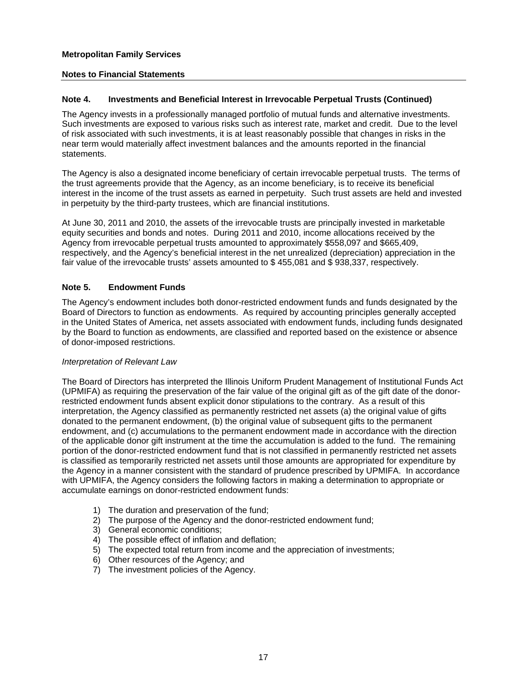# **Notes to Financial Statements**

# **Note 4. Investments and Beneficial Interest in Irrevocable Perpetual Trusts (Continued)**

The Agency invests in a professionally managed portfolio of mutual funds and alternative investments. Such investments are exposed to various risks such as interest rate, market and credit. Due to the level of risk associated with such investments, it is at least reasonably possible that changes in risks in the near term would materially affect investment balances and the amounts reported in the financial statements.

The Agency is also a designated income beneficiary of certain irrevocable perpetual trusts. The terms of the trust agreements provide that the Agency, as an income beneficiary, is to receive its beneficial interest in the income of the trust assets as earned in perpetuity. Such trust assets are held and invested in perpetuity by the third-party trustees, which are financial institutions.

At June 30, 2011 and 2010, the assets of the irrevocable trusts are principally invested in marketable equity securities and bonds and notes. During 2011 and 2010, income allocations received by the Agency from irrevocable perpetual trusts amounted to approximately \$558,097 and \$665,409, respectively, and the Agency's beneficial interest in the net unrealized (depreciation) appreciation in the fair value of the irrevocable trusts' assets amounted to \$ 455,081 and \$ 938,337, respectively.

# **Note 5. Endowment Funds**

The Agency's endowment includes both donor-restricted endowment funds and funds designated by the Board of Directors to function as endowments. As required by accounting principles generally accepted in the United States of America, net assets associated with endowment funds, including funds designated by the Board to function as endowments, are classified and reported based on the existence or absence of donor-imposed restrictions.

#### *Interpretation of Relevant Law*

The Board of Directors has interpreted the Illinois Uniform Prudent Management of Institutional Funds Act (UPMIFA) as requiring the preservation of the fair value of the original gift as of the gift date of the donorrestricted endowment funds absent explicit donor stipulations to the contrary. As a result of this interpretation, the Agency classified as permanently restricted net assets (a) the original value of gifts donated to the permanent endowment, (b) the original value of subsequent gifts to the permanent endowment, and (c) accumulations to the permanent endowment made in accordance with the direction of the applicable donor gift instrument at the time the accumulation is added to the fund. The remaining portion of the donor-restricted endowment fund that is not classified in permanently restricted net assets is classified as temporarily restricted net assets until those amounts are appropriated for expenditure by the Agency in a manner consistent with the standard of prudence prescribed by UPMIFA. In accordance with UPMIFA, the Agency considers the following factors in making a determination to appropriate or accumulate earnings on donor-restricted endowment funds:

- 1) The duration and preservation of the fund;
- 2) The purpose of the Agency and the donor-restricted endowment fund;
- 3) General economic conditions;
- 4) The possible effect of inflation and deflation;
- 5) The expected total return from income and the appreciation of investments;
- 6) Other resources of the Agency; and
- 7) The investment policies of the Agency.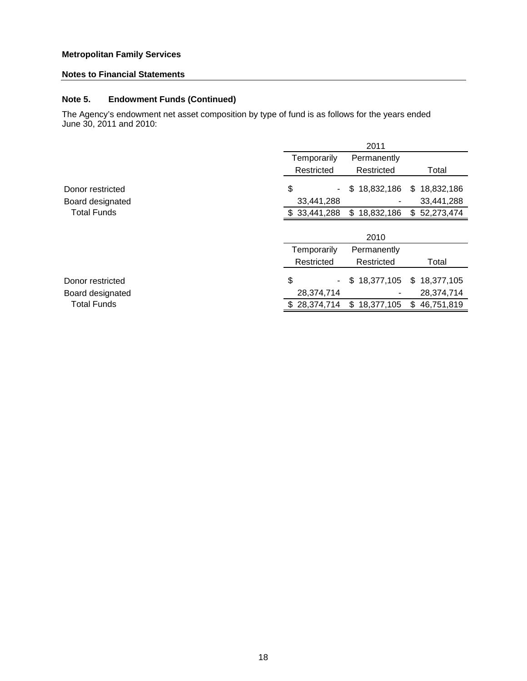# **Notes to Financial Statements**

# **Note 5. Endowment Funds (Continued)**

The Agency's endowment net asset composition by type of fund is as follows for the years ended June 30, 2011 and 2010:

|                    |                   | 2011             |                  |
|--------------------|-------------------|------------------|------------------|
|                    | Temporarily       | Permanently      |                  |
|                    | Restricted        | Restricted       | Total            |
| Donor restricted   | \$                | \$18,832,186     | 18,832,186<br>\$ |
| Board designated   | 33,441,288        |                  | 33,441,288       |
| <b>Total Funds</b> | \$33,441,288      | \$18,832,186     | \$52,273,474     |
|                    |                   |                  |                  |
|                    |                   | 2010             |                  |
|                    | Temporarily       | Permanently      |                  |
|                    | Restricted        | Restricted       | Total            |
| Donor restricted   | \$                | \$18,377,105     | \$<br>18,377,105 |
| Board designated   | 28,374,714        |                  | 28,374,714       |
| <b>Total Funds</b> | 28,374,714<br>SS. | 18,377,105<br>\$ | 46,751,819<br>\$ |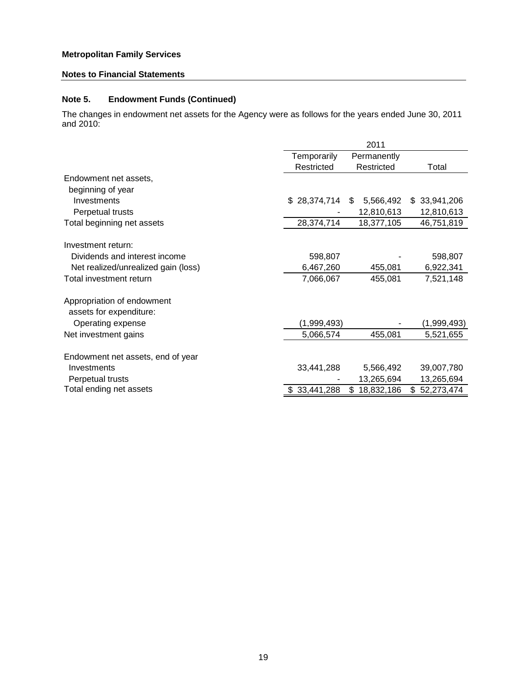# **Notes to Financial Statements**

# **Note 5. Endowment Funds (Continued)**

The changes in endowment net assets for the Agency were as follows for the years ended June 30, 2011 and 2010:

|                                     |              | 2011             |                  |
|-------------------------------------|--------------|------------------|------------------|
|                                     | Temporarily  | Permanently      |                  |
|                                     | Restricted   | Restricted       | Total            |
| Endowment net assets,               |              |                  |                  |
| beginning of year                   |              |                  |                  |
| Investments                         | \$28,374,714 | 5,566,492<br>S.  | 33,941,206<br>\$ |
| Perpetual trusts                    |              | 12,810,613       | 12,810,613       |
| Total beginning net assets          | 28,374,714   | 18,377,105       | 46,751,819       |
|                                     |              |                  |                  |
| Investment return:                  |              |                  |                  |
| Dividends and interest income       | 598,807      |                  | 598,807          |
| Net realized/unrealized gain (loss) | 6,467,260    | 455,081          | 6,922,341        |
| Total investment return             | 7,066,067    | 455,081          | 7,521,148        |
| Appropriation of endowment          |              |                  |                  |
| assets for expenditure:             |              |                  |                  |
| Operating expense                   | (1,999,493)  |                  | (1,999,493)      |
| Net investment gains                | 5,066,574    | 455,081          | 5,521,655        |
|                                     |              |                  |                  |
| Endowment net assets, end of year   |              |                  |                  |
| Investments                         | 33,441,288   | 5,566,492        | 39,007,780       |
| Perpetual trusts                    |              | 13,265,694       | 13,265,694       |
| Total ending net assets             | 33,441,288   | 18,832,186<br>\$ | 52,273,474<br>\$ |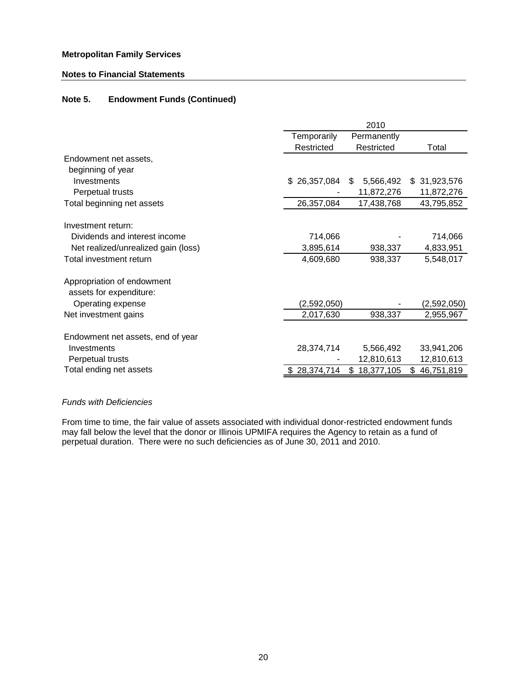## **Notes to Financial Statements**

# **Note 5. Endowment Funds (Continued)**

|                                     |              | 2010             |              |
|-------------------------------------|--------------|------------------|--------------|
|                                     | Temporarily  | Permanently      |              |
|                                     | Restricted   | Restricted       | Total        |
| Endowment net assets,               |              |                  |              |
| beginning of year                   |              |                  |              |
| Investments                         | \$26,357,084 | 5,566,492<br>\$  | \$31,923,576 |
| Perpetual trusts                    |              | 11,872,276       | 11,872,276   |
| Total beginning net assets          | 26,357,084   | 17,438,768       | 43,795,852   |
|                                     |              |                  |              |
| Investment return:                  |              |                  |              |
| Dividends and interest income       | 714,066      |                  | 714,066      |
| Net realized/unrealized gain (loss) | 3,895,614    | 938,337          | 4,833,951    |
| Total investment return             | 4,609,680    | 938,337          | 5,548,017    |
| Appropriation of endowment          |              |                  |              |
| assets for expenditure:             |              |                  |              |
| Operating expense                   | (2,592,050)  |                  | (2,592,050)  |
| Net investment gains                | 2,017,630    | 938,337          | 2,955,967    |
|                                     |              |                  |              |
| Endowment net assets, end of year   |              |                  |              |
| Investments                         | 28,374,714   | 5,566,492        | 33,941,206   |
| Perpetual trusts                    |              | 12,810,613       | 12,810,613   |
| Total ending net assets             | \$28,374,714 | \$<br>18,377,105 | \$46,751,819 |

## *Funds with Deficiencies*

From time to time, the fair value of assets associated with individual donor-restricted endowment funds may fall below the level that the donor or Illinois UPMIFA requires the Agency to retain as a fund of perpetual duration. There were no such deficiencies as of June 30, 2011 and 2010.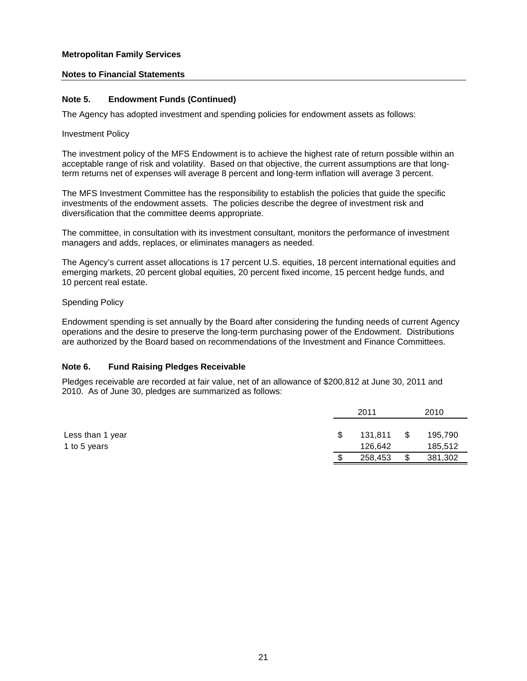# **Notes to Financial Statements**

# **Note 5. Endowment Funds (Continued)**

The Agency has adopted investment and spending policies for endowment assets as follows:

#### Investment Policy

The investment policy of the MFS Endowment is to achieve the highest rate of return possible within an acceptable range of risk and volatility. Based on that objective, the current assumptions are that longterm returns net of expenses will average 8 percent and long-term inflation will average 3 percent.

The MFS Investment Committee has the responsibility to establish the policies that guide the specific investments of the endowment assets. The policies describe the degree of investment risk and diversification that the committee deems appropriate.

The committee, in consultation with its investment consultant, monitors the performance of investment managers and adds, replaces, or eliminates managers as needed.

The Agency's current asset allocations is 17 percent U.S. equities, 18 percent international equities and emerging markets, 20 percent global equities, 20 percent fixed income, 15 percent hedge funds, and 10 percent real estate.

#### Spending Policy

Endowment spending is set annually by the Board after considering the funding needs of current Agency operations and the desire to preserve the long-term purchasing power of the Endowment. Distributions are authorized by the Board based on recommendations of the Investment and Finance Committees.

#### **Note 6. Fund Raising Pledges Receivable**

Pledges receivable are recorded at fair value, net of an allowance of \$200,812 at June 30, 2011 and 2010. As of June 30, pledges are summarized as follows:

|                  | 2011    |    | 2010    |
|------------------|---------|----|---------|
|                  |         |    |         |
| Less than 1 year | 131.811 | S  | 195,790 |
| 1 to 5 years     | 126,642 |    | 185,512 |
|                  | 258,453 | \$ | 381,302 |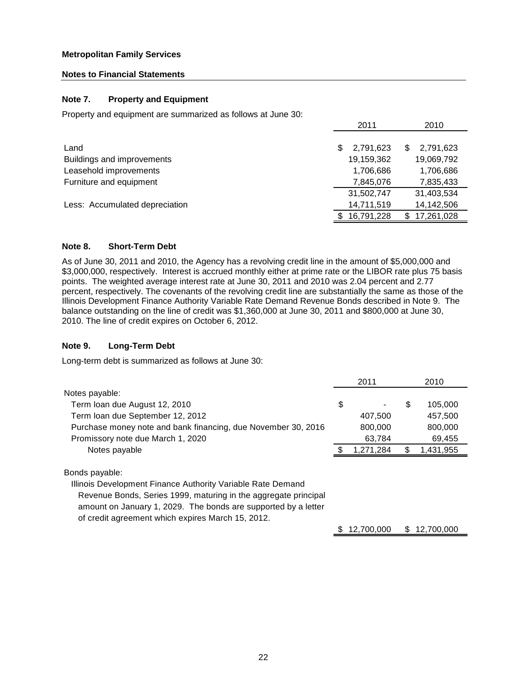# **Notes to Financial Statements**

# **Note 7. Property and Equipment**

Property and equipment are summarized as follows at June 30:

|                                | 2011           | 2010            |
|--------------------------------|----------------|-----------------|
|                                |                |                 |
| Land                           | 2,791,623<br>S | 2,791,623<br>S  |
| Buildings and improvements     | 19,159,362     | 19,069,792      |
| Leasehold improvements         | 1,706,686      | 1,706,686       |
| Furniture and equipment        | 7,845,076      | 7,835,433       |
|                                | 31,502,747     | 31,403,534      |
| Less: Accumulated depreciation | 14,711,519     | 14,142,506      |
|                                | 16,791,228     | 17,261,028<br>S |
|                                |                |                 |

# **Note 8. Short-Term Debt**

As of June 30, 2011 and 2010, the Agency has a revolving credit line in the amount of \$5,000,000 and \$3,000,000, respectively. Interest is accrued monthly either at prime rate or the LIBOR rate plus 75 basis points. The weighted average interest rate at June 30, 2011 and 2010 was 2.04 percent and 2.77 percent, respectively. The covenants of the revolving credit line are substantially the same as those of the Illinois Development Finance Authority Variable Rate Demand Revenue Bonds described in Note 9. The balance outstanding on the line of credit was \$1,360,000 at June 30, 2011 and \$800,000 at June 30, 2010. The line of credit expires on October 6, 2012.

## **Note 9. Long-Term Debt**

Long-term debt is summarized as follows at June 30:

|                                                                 | 2011      | 2010          |  |
|-----------------------------------------------------------------|-----------|---------------|--|
| Notes payable:                                                  |           |               |  |
| Term loan due August 12, 2010                                   | \$        | \$<br>105,000 |  |
| Term loan due September 12, 2012                                | 407,500   | 457,500       |  |
| Purchase money note and bank financing, due November 30, 2016   | 800,000   | 800,000       |  |
| Promissory note due March 1, 2020                               | 63,784    | 69,455        |  |
| Notes payable                                                   | 1,271,284 | 1,431,955     |  |
| Bonds payable:                                                  |           |               |  |
| Illinois Development Finance Authority Variable Rate Demand     |           |               |  |
| Revenue Bonds, Series 1999, maturing in the aggregate principal |           |               |  |

Revenue Bonds, Series 1999, maturing in the aggregate principal amount on January 1, 2029. The bonds are supported by a letter of credit agreement which expires March 15, 2012.

 $$ 12,700,000 \$ 12,700,000$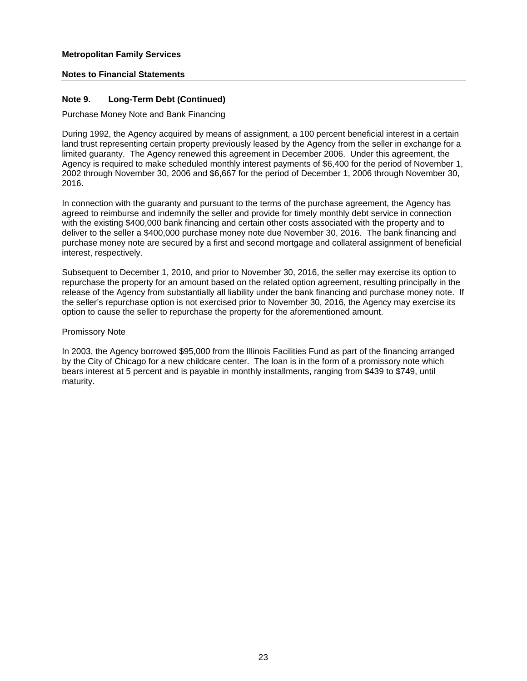# **Notes to Financial Statements**

# **Note 9. Long-Term Debt (Continued)**

Purchase Money Note and Bank Financing

During 1992, the Agency acquired by means of assignment, a 100 percent beneficial interest in a certain land trust representing certain property previously leased by the Agency from the seller in exchange for a limited guaranty. The Agency renewed this agreement in December 2006. Under this agreement, the Agency is required to make scheduled monthly interest payments of \$6,400 for the period of November 1, 2002 through November 30, 2006 and \$6,667 for the period of December 1, 2006 through November 30, 2016.

In connection with the guaranty and pursuant to the terms of the purchase agreement, the Agency has agreed to reimburse and indemnify the seller and provide for timely monthly debt service in connection with the existing \$400,000 bank financing and certain other costs associated with the property and to deliver to the seller a \$400,000 purchase money note due November 30, 2016. The bank financing and purchase money note are secured by a first and second mortgage and collateral assignment of beneficial interest, respectively.

Subsequent to December 1, 2010, and prior to November 30, 2016, the seller may exercise its option to repurchase the property for an amount based on the related option agreement, resulting principally in the release of the Agency from substantially all liability under the bank financing and purchase money note. If the seller's repurchase option is not exercised prior to November 30, 2016, the Agency may exercise its option to cause the seller to repurchase the property for the aforementioned amount.

#### Promissory Note

In 2003, the Agency borrowed \$95,000 from the Illinois Facilities Fund as part of the financing arranged by the City of Chicago for a new childcare center. The loan is in the form of a promissory note which bears interest at 5 percent and is payable in monthly installments, ranging from \$439 to \$749, until maturity.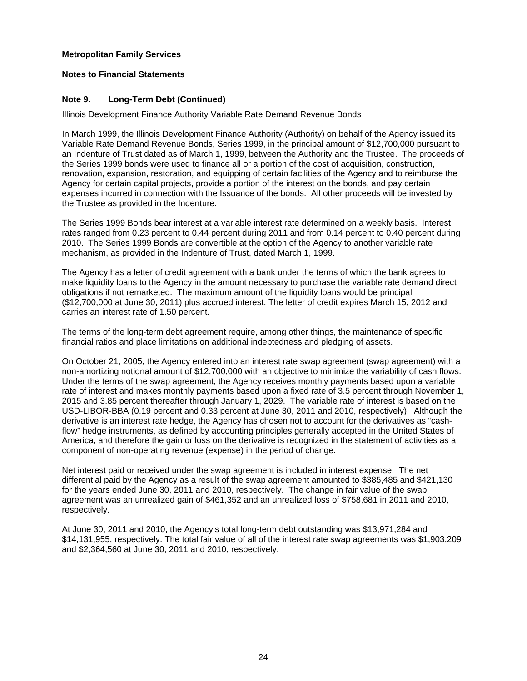# **Notes to Financial Statements**

# **Note 9. Long-Term Debt (Continued)**

Illinois Development Finance Authority Variable Rate Demand Revenue Bonds

In March 1999, the Illinois Development Finance Authority (Authority) on behalf of the Agency issued its Variable Rate Demand Revenue Bonds, Series 1999, in the principal amount of \$12,700,000 pursuant to an Indenture of Trust dated as of March 1, 1999, between the Authority and the Trustee. The proceeds of the Series 1999 bonds were used to finance all or a portion of the cost of acquisition, construction, renovation, expansion, restoration, and equipping of certain facilities of the Agency and to reimburse the Agency for certain capital projects, provide a portion of the interest on the bonds, and pay certain expenses incurred in connection with the Issuance of the bonds. All other proceeds will be invested by the Trustee as provided in the Indenture.

The Series 1999 Bonds bear interest at a variable interest rate determined on a weekly basis. Interest rates ranged from 0.23 percent to 0.44 percent during 2011 and from 0.14 percent to 0.40 percent during 2010. The Series 1999 Bonds are convertible at the option of the Agency to another variable rate mechanism, as provided in the Indenture of Trust, dated March 1, 1999.

The Agency has a letter of credit agreement with a bank under the terms of which the bank agrees to make liquidity loans to the Agency in the amount necessary to purchase the variable rate demand direct obligations if not remarketed. The maximum amount of the liquidity loans would be principal (\$12,700,000 at June 30, 2011) plus accrued interest. The letter of credit expires March 15, 2012 and carries an interest rate of 1.50 percent.

The terms of the long-term debt agreement require, among other things, the maintenance of specific financial ratios and place limitations on additional indebtedness and pledging of assets.

On October 21, 2005, the Agency entered into an interest rate swap agreement (swap agreement) with a non-amortizing notional amount of \$12,700,000 with an objective to minimize the variability of cash flows. Under the terms of the swap agreement, the Agency receives monthly payments based upon a variable rate of interest and makes monthly payments based upon a fixed rate of 3.5 percent through November 1, 2015 and 3.85 percent thereafter through January 1, 2029. The variable rate of interest is based on the USD-LIBOR-BBA (0.19 percent and 0.33 percent at June 30, 2011 and 2010, respectively). Although the derivative is an interest rate hedge, the Agency has chosen not to account for the derivatives as "cashflow" hedge instruments, as defined by accounting principles generally accepted in the United States of America, and therefore the gain or loss on the derivative is recognized in the statement of activities as a component of non-operating revenue (expense) in the period of change.

Net interest paid or received under the swap agreement is included in interest expense. The net differential paid by the Agency as a result of the swap agreement amounted to \$385,485 and \$421,130 for the years ended June 30, 2011 and 2010, respectively. The change in fair value of the swap agreement was an unrealized gain of \$461,352 and an unrealized loss of \$758,681 in 2011 and 2010, respectively.

At June 30, 2011 and 2010, the Agency's total long-term debt outstanding was \$13,971,284 and \$14,131,955, respectively. The total fair value of all of the interest rate swap agreements was \$1,903,209 and \$2,364,560 at June 30, 2011 and 2010, respectively.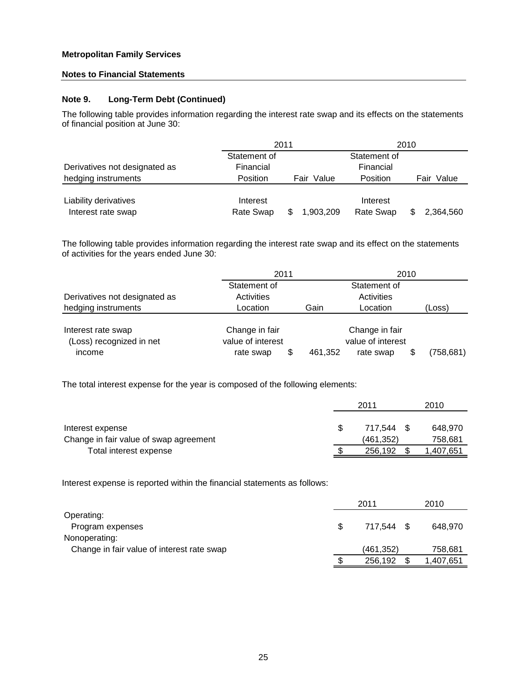## **Notes to Financial Statements**

# **Note 9. Long-Term Debt (Continued)**

The following table provides information regarding the interest rate swap and its effects on the statements of financial position at June 30:

|                               | 2011         |                  | 2010         |               |
|-------------------------------|--------------|------------------|--------------|---------------|
|                               | Statement of |                  | Statement of |               |
| Derivatives not designated as | Financial    |                  | Financial    |               |
| hedging instruments           | Position     | Value<br>Fair    | Position     | Value<br>Fair |
|                               |              |                  |              |               |
| Liability derivatives         | Interest     |                  | Interest     |               |
| Interest rate swap            | Rate Swap    | 1,903,209<br>\$. | Rate Swap    | 2,364,560     |

The following table provides information regarding the interest rate swap and its effect on the statements of activities for the years ended June 30:

|                               | 2011              |         | 2010              |  |            |
|-------------------------------|-------------------|---------|-------------------|--|------------|
|                               | Statement of      |         | Statement of      |  |            |
| Derivatives not designated as | Activities        |         | Activities        |  |            |
| hedging instruments           | Location          | Gain    | Location          |  | (Loss)     |
|                               |                   |         |                   |  |            |
| Interest rate swap            | Change in fair    |         | Change in fair    |  |            |
| (Loss) recognized in net      | value of interest |         | value of interest |  |            |
| income                        | \$<br>rate swap   | 461,352 | rate swap         |  | (758, 681) |

The total interest expense for the year is composed of the following elements:

|                                        | 2011       | 2010      |
|----------------------------------------|------------|-----------|
| Interest expense                       | 717.544    | 648.970   |
| Change in fair value of swap agreement | (461, 352) | 758,681   |
| Total interest expense                 | 256.192    | 1,407,651 |

Interest expense is reported within the financial statements as follows:

|                                            | 2011       | 2010      |
|--------------------------------------------|------------|-----------|
| Operating:                                 |            |           |
| Program expenses                           | 717.544 \$ | 648.970   |
| Nonoperating:                              |            |           |
| Change in fair value of interest rate swap | (461, 352) | 758,681   |
|                                            | 256,192    | 1,407,651 |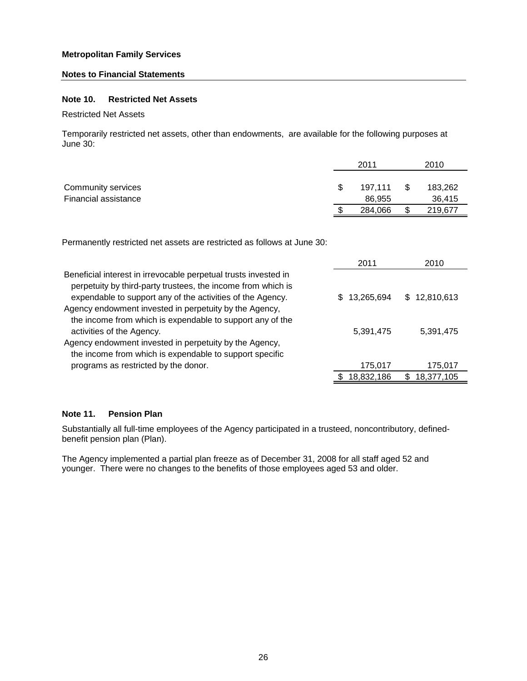#### **Notes to Financial Statements**

## **Note 10. Restricted Net Assets**

Restricted Net Assets

Temporarily restricted net assets, other than endowments, are available for the following purposes at June 30:

|                      | 2011    |      | 2010    |
|----------------------|---------|------|---------|
|                      |         |      |         |
| Community services   | 197.111 | - \$ | 183,262 |
| Financial assistance | 86.955  |      | 36.415  |
|                      | 284.066 |      | 219,677 |

Permanently restricted net assets are restricted as follows at June 30:

|                                                                                                                                                                                               | 2011       | 2010         |
|-----------------------------------------------------------------------------------------------------------------------------------------------------------------------------------------------|------------|--------------|
| Beneficial interest in irrevocable perpetual trusts invested in<br>perpetuity by third-party trustees, the income from which is<br>expendable to support any of the activities of the Agency. | 13,265,694 | \$12,810,613 |
| Agency endowment invested in perpetuity by the Agency,<br>the income from which is expendable to support any of the                                                                           |            |              |
| activities of the Agency.<br>Agency endowment invested in perpetuity by the Agency,                                                                                                           | 5,391,475  | 5,391,475    |
| the income from which is expendable to support specific                                                                                                                                       |            |              |
| programs as restricted by the donor.                                                                                                                                                          | 175,017    | 175,017      |
|                                                                                                                                                                                               | 18,832,186 | 18,377,105   |

# **Note 11. Pension Plan**

Substantially all full-time employees of the Agency participated in a trusteed, noncontributory, definedbenefit pension plan (Plan).

The Agency implemented a partial plan freeze as of December 31, 2008 for all staff aged 52 and younger. There were no changes to the benefits of those employees aged 53 and older.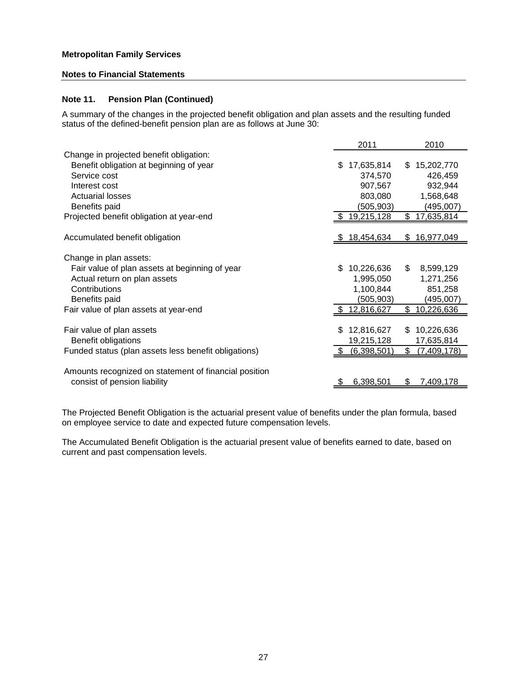## **Notes to Financial Statements**

# **Note 11. Pension Plan (Continued)**

A summary of the changes in the projected benefit obligation and plan assets and the resulting funded status of the defined-benefit pension plan are as follows at June 30:

| \$15,202,770 |
|--------------|
| 426,459      |
| 932,944      |
| 1,568,648    |
| (495,007)    |
| 17,635,814   |
|              |
| 16,977,049   |
|              |
| 8,599,129    |
| 1,271,256    |
| 851,258      |
| (495,007)    |
| 10,226,636   |
|              |
| 10,226,636   |
| 17,635,814   |
| (7,409,178)  |
|              |
| 7,409,178    |
|              |

The Projected Benefit Obligation is the actuarial present value of benefits under the plan formula, based on employee service to date and expected future compensation levels.

The Accumulated Benefit Obligation is the actuarial present value of benefits earned to date, based on current and past compensation levels.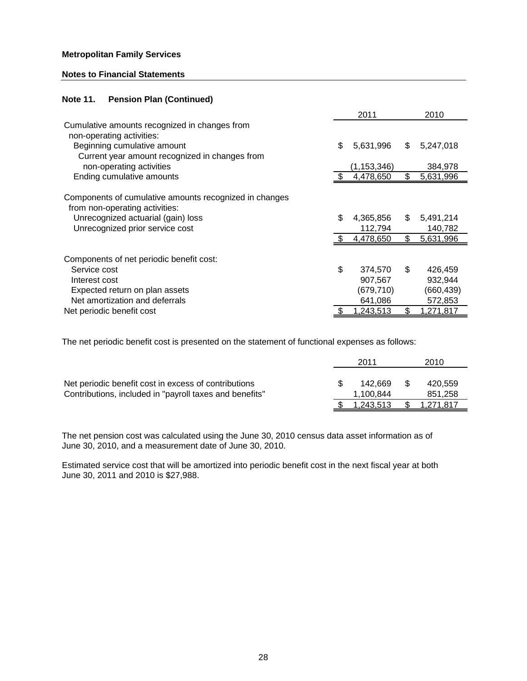#### **Notes to Financial Statements**

# **Note 11. Pension Plan (Continued)**

|                                                        | 2011            |     | 2010       |
|--------------------------------------------------------|-----------------|-----|------------|
| Cumulative amounts recognized in changes from          |                 |     |            |
| non-operating activities:                              |                 |     |            |
| Beginning cumulative amount                            | \$<br>5,631,996 | \$  | 5,247,018  |
| Current year amount recognized in changes from         |                 |     |            |
| non-operating activities                               | (1, 153, 346)   |     | 384,978    |
| Ending cumulative amounts                              | 4,478,650       | \$. | 5,631,996  |
|                                                        |                 |     |            |
| Components of cumulative amounts recognized in changes |                 |     |            |
| from non-operating activities:                         |                 |     |            |
| Unrecognized actuarial (gain) loss                     | \$<br>4,365,856 | \$. | 5,491,214  |
| Unrecognized prior service cost                        | 112,794         |     | 140,782    |
|                                                        | 4,478,650       | \$  | 5,631,996  |
|                                                        |                 |     |            |
| Components of net periodic benefit cost:               |                 |     |            |
| Service cost                                           | \$<br>374,570   | \$  | 426,459    |
| Interest cost                                          | 907,567         |     | 932,944    |
| Expected return on plan assets                         | (679,710)       |     | (660, 439) |
| Net amortization and deferrals                         | 641,086         |     | 572,853    |
| Net periodic benefit cost                              | 1,243,513       | \$  | 1,271,817  |

The net periodic benefit cost is presented on the statement of functional expenses as follows:

|                                                                                                                 | 2011                 | 2010               |
|-----------------------------------------------------------------------------------------------------------------|----------------------|--------------------|
| Net periodic benefit cost in excess of contributions<br>Contributions, included in "payroll taxes and benefits" | 142.669<br>1.100.844 | 420.559<br>851,258 |
|                                                                                                                 | 1.243.513            | 1.271.817          |

The net pension cost was calculated using the June 30, 2010 census data asset information as of June 30, 2010, and a measurement date of June 30, 2010.

Estimated service cost that will be amortized into periodic benefit cost in the next fiscal year at both June 30, 2011 and 2010 is \$27,988.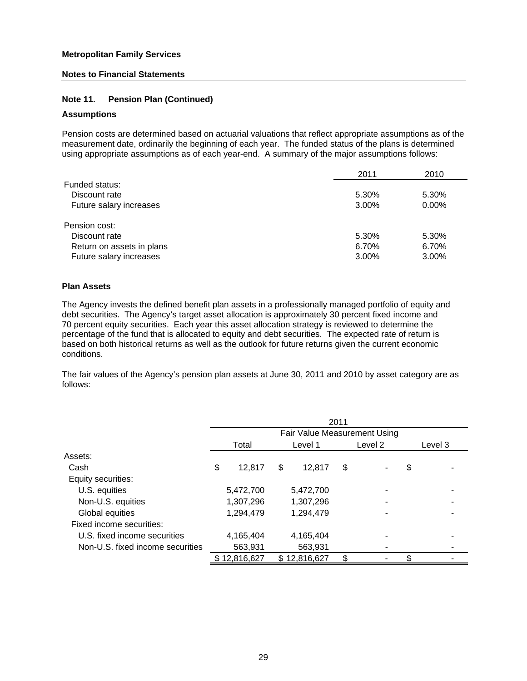## **Notes to Financial Statements**

# **Note 11. Pension Plan (Continued)**

# **Assumptions**

Pension costs are determined based on actuarial valuations that reflect appropriate assumptions as of the measurement date, ordinarily the beginning of each year. The funded status of the plans is determined using appropriate assumptions as of each year-end. A summary of the major assumptions follows:

|                           | 2011  | 2010  |
|---------------------------|-------|-------|
| Funded status:            |       |       |
| Discount rate             | 5.30% | 5.30% |
| Future salary increases   | 3.00% | 0.00% |
| Pension cost:             |       |       |
| Discount rate             | 5.30% | 5.30% |
| Return on assets in plans | 6.70% | 6.70% |
| Future salary increases   | 3.00% | 3.00% |

#### **Plan Assets**

The Agency invests the defined benefit plan assets in a professionally managed portfolio of equity and debt securities. The Agency's target asset allocation is approximately 30 percent fixed income and 70 percent equity securities. Each year this asset allocation strategy is reviewed to determine the percentage of the fund that is allocated to equity and debt securities. The expected rate of return is based on both historical returns as well as the outlook for future returns given the current economic conditions.

The fair values of the Agency's pension plan assets at June 30, 2011 and 2010 by asset category are as follows:

|                                  |              |              | 2011 |                              |         |
|----------------------------------|--------------|--------------|------|------------------------------|---------|
|                                  |              |              |      | Fair Value Measurement Using |         |
|                                  | Total        | Level 1      |      | Level 2                      | Level 3 |
| Assets:                          |              |              |      |                              |         |
| Cash                             | \$<br>12,817 | \$<br>12.817 | \$   |                              | \$      |
| Equity securities:               |              |              |      |                              |         |
| U.S. equities                    | 5,472,700    | 5,472,700    |      |                              |         |
| Non-U.S. equities                | 1,307,296    | 1,307,296    |      |                              |         |
| Global equities                  | 1,294,479    | 1,294,479    |      |                              |         |
| Fixed income securities:         |              |              |      |                              |         |
| U.S. fixed income securities     | 4,165,404    | 4,165,404    |      |                              |         |
| Non-U.S. fixed income securities | 563,931      | 563,931      |      |                              |         |
|                                  | \$12,816,627 | \$12,816,627 | \$   |                              | \$      |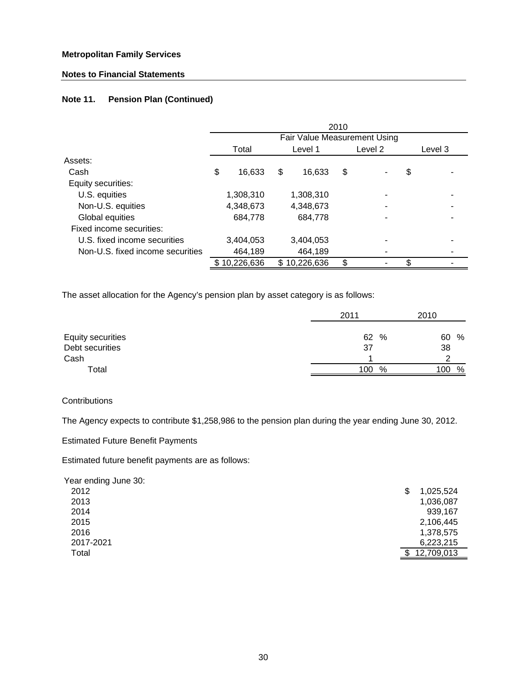# **Notes to Financial Statements**

# **Note 11. Pension Plan (Continued)**

|                                  |              |                              | 2010 |         |         |
|----------------------------------|--------------|------------------------------|------|---------|---------|
|                                  |              | Fair Value Measurement Using |      |         |         |
|                                  | Total        | Level 1                      |      | Level 2 | Level 3 |
| Assets:                          |              |                              |      |         |         |
| Cash                             | \$<br>16,633 | \$<br>16,633                 | \$   |         | \$      |
| Equity securities:               |              |                              |      |         |         |
| U.S. equities                    | 1,308,310    | 1,308,310                    |      |         |         |
| Non-U.S. equities                | 4,348,673    | 4,348,673                    |      |         |         |
| Global equities                  | 684,778      | 684,778                      |      |         |         |
| Fixed income securities:         |              |                              |      |         |         |
| U.S. fixed income securities     | 3,404,053    | 3,404,053                    |      |         |         |
| Non-U.S. fixed income securities | 464,189      | 464,189                      |      |         |         |
|                                  | 10,226,636   | \$<br>10,226,636             |      |         | \$      |

The asset allocation for the Agency's pension plan by asset category is as follows:

|                   | 2011 | 2010          |
|-------------------|------|---------------|
| Equity securities | 62   | %<br>%<br>60  |
| Debt securities   | 37   | 38            |
| Cash              |      |               |
| Total             | 100  | %<br>%<br>100 |

#### **Contributions**

The Agency expects to contribute \$1,258,986 to the pension plan during the year ending June 30, 2012.

Estimated Future Benefit Payments

Estimated future benefit payments are as follows:

Year ending June 30:

| 2012      | \$<br>1,025,524 |
|-----------|-----------------|
| 2013      | 1,036,087       |
| 2014      | 939,167         |
| 2015      | 2,106,445       |
| 2016      | 1,378,575       |
| 2017-2021 | 6,223,215       |
| Total     | 12,709,013      |